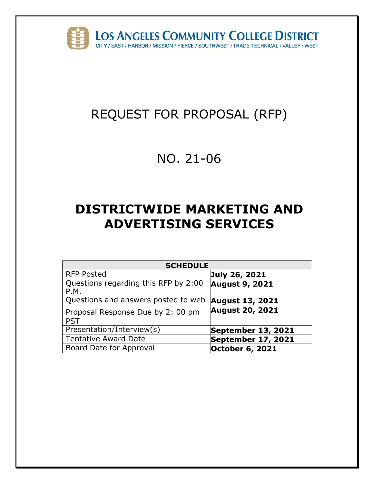

# REQUEST FOR PROPOSAL (RFP)

# NO. 21-06

# **DISTRICTWIDE MARKETING AND ADVERTISING SERVICES**

| <b>SCHEDULE</b>                                 |                        |  |  |
|-------------------------------------------------|------------------------|--|--|
| <b>RFP Posted</b>                               | July 26, 2021          |  |  |
| Questions regarding this RFP by 2:00<br>P.M.    | <b>August 9, 2021</b>  |  |  |
| Questions and answers posted to web             | <b>August 13, 2021</b> |  |  |
| Proposal Response Due by 2: 00 pm<br><b>PST</b> | <b>August 20, 2021</b> |  |  |
| Presentation/Interview(s)                       | September 13, 2021     |  |  |
| <b>Tentative Award Date</b>                     | September 17, 2021     |  |  |
| Board Date for Approval                         | <b>October 6, 2021</b> |  |  |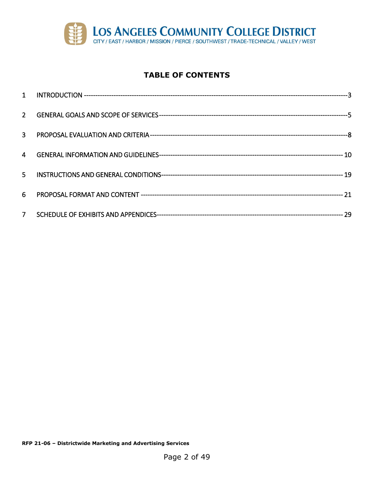

## **TABLE OF CONTENTS**

| $2^{\circ}$    |  |
|----------------|--|
| $\overline{3}$ |  |
| 4              |  |
| 5 <sup>1</sup> |  |
| 6.             |  |
| 7 <sup>7</sup> |  |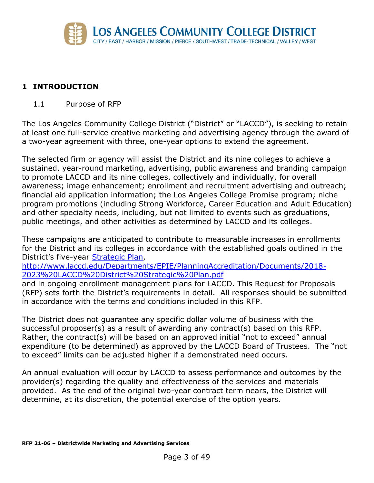

## <span id="page-2-0"></span>**1 INTRODUCTION**

1.1 Purpose of RFP

The Los Angeles Community College District ("District" or "LACCD"), is seeking to retain at least one full-service creative marketing and advertising agency through the award of a two-year agreement with three, one-year options to extend the agreement.

The selected firm or agency will assist the District and its nine colleges to achieve a sustained, year-round marketing, advertising, public awareness and branding campaign to promote LACCD and its nine colleges, collectively and individually, for overall awareness; image enhancement; enrollment and recruitment advertising and outreach; financial aid application information; the Los Angeles College Promise program; niche program promotions (including Strong Workforce, Career Education and Adult Education) and other specialty needs, including, but not limited to events such as graduations, public meetings, and other activities as determined by LACCD and its colleges.

These campaigns are anticipated to contribute to measurable increases in enrollments for the District and its colleges in accordance with the established goals outlined in the District's five-year **Strategic Plan,** 

[http://www.laccd.edu/Departments/EPIE/PlanningAccreditation/Documents/2018-](http://www.laccd.edu/Departments/EPIE/PlanningAccreditation/Documents/2018-2023%20LACCD%20District%20Strategic%20Plan.pdf) [2023%20LACCD%20District%20Strategic%20Plan.pdf](http://www.laccd.edu/Departments/EPIE/PlanningAccreditation/Documents/2018-2023%20LACCD%20District%20Strategic%20Plan.pdf)

and in ongoing enrollment management plans for LACCD. This Request for Proposals (RFP) sets forth the District's requirements in detail. All responses should be submitted in accordance with the terms and conditions included in this RFP.

The District does not guarantee any specific dollar volume of business with the successful proposer(s) as a result of awarding any contract(s) based on this RFP. Rather, the contract(s) will be based on an approved initial "not to exceed" annual expenditure (to be determined) as approved by the LACCD Board of Trustees. The "not to exceed" limits can be adjusted higher if a demonstrated need occurs.

An annual evaluation will occur by LACCD to assess performance and outcomes by the provider(s) regarding the quality and effectiveness of the services and materials provided. As the end of the original two-year contract term nears, the District will determine, at its discretion, the potential exercise of the option years.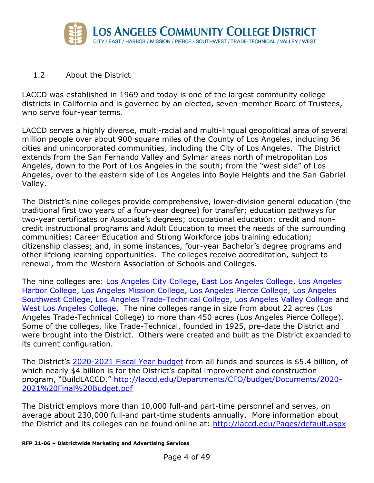

#### 1.2 About the District

LACCD was established in 1969 and today is one of the largest community college districts in California and is governed by an elected, seven-member Board of Trustees, who serve four-year terms.

LACCD serves a highly diverse, multi-racial and multi-lingual geopolitical area of several million people over about 900 square miles of the County of Los Angeles, including 36 cities and unincorporated communities, including the City of Los Angeles. The District extends from the San Fernando Valley and Sylmar areas north of metropolitan Los Angeles, down to the Port of Los Angeles in the south; from the "west side" of Los Angeles, over to the eastern side of Los Angeles into Boyle Heights and the San Gabriel Valley.

The District's nine colleges provide comprehensive, lower-division general education (the traditional first two years of a four-year degree) for transfer; education pathways for two-year certificates or Associate's degrees; occupational education; credit and noncredit instructional programs and Adult Education to meet the needs of the surrounding communities; Career Education and Strong Workforce jobs training education; citizenship classes; and, in some instances, four-year Bachelor's degree programs and other lifelong learning opportunities. The colleges receive accreditation, subject to renewal, from the Western Association of Schools and Colleges.

The nine colleges are: [Los Angeles City College,](https://www.lacitycollege.edu/) [East Los Angeles College,](https://www.elac.edu/) [Los Angeles](https://www.lahc.edu/)  [Harbor College,](https://www.lahc.edu/) [Los Angeles Mission College,](https://www.lamission.edu/) [Los Angeles Pierce College,](https://www.piercecollege.edu/) [Los Angeles](https://www.lasc.edu/)  [Southwest College,](https://www.lasc.edu/) [Los Angeles Trade-Technical College,](http://www.lattc.edu/) [Los Angeles Valley College](https://www.lavc.edu/) and [West Los Angeles College.](http://www.wlac.edu/) The nine colleges range in size from about 22 acres (Los Angeles Trade-Technical College) to more than 450 acres (Los Angeles Pierce College). Some of the colleges, like Trade-Technical, founded in 1925, pre-date the District and were brought into the District. Others were created and built as the District expanded to its current configuration.

The District's [2020-2021 Fiscal Year budget](http://laccd.edu/Departments/CFO/budget/Documents/2020-2021%20Final%20Budget.pdf) from all funds and sources is \$5.4 billion, of which nearly \$4 billion is for the District's capital improvement and construction program, "BuildLACCD." [http://laccd.edu/Departments/CFO/budget/Documents/2020-](http://laccd.edu/Departments/CFO/budget/Documents/2020-2021%20Final%20Budget.pdf) [2021%20Final%20Budget.pdf](http://laccd.edu/Departments/CFO/budget/Documents/2020-2021%20Final%20Budget.pdf)

The District employs more than 10,000 full-and part-time personnel and serves, on average about 230,000 full-and part-time students annually. More information about the District and its colleges can be found online at: <http://laccd.edu/Pages/default.aspx>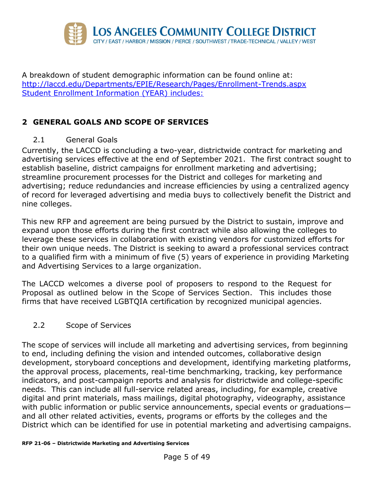

A breakdown of student demographic information can be found online at: <http://laccd.edu/Departments/EPIE/Research/Pages/Enrollment-Trends.aspx> Student Enrollment Information (YEAR) includes:

# <span id="page-4-0"></span>**2 GENERAL GOALS AND SCOPE OF SERVICES**

2.1 General Goals

Currently, the LACCD is concluding a two-year, districtwide contract for marketing and advertising services effective at the end of September 2021. The first contract sought to establish baseline, district campaigns for enrollment marketing and advertising; streamline procurement processes for the District and colleges for marketing and advertising; reduce redundancies and increase efficiencies by using a centralized agency of record for leveraged advertising and media buys to collectively benefit the District and nine colleges.

This new RFP and agreement are being pursued by the District to sustain, improve and expand upon those efforts during the first contract while also allowing the colleges to leverage these services in collaboration with existing vendors for customized efforts for their own unique needs. The District is seeking to award a professional services contract to a qualified firm with a minimum of five (5) years of experience in providing Marketing and Advertising Services to a large organization.

The LACCD welcomes a diverse pool of proposers to respond to the Request for Proposal as outlined below in the Scope of Services Section. This includes those firms that have received LGBTQIA certification by recognized municipal agencies.

#### 2.2 Scope of Services

The scope of services will include all marketing and advertising services, from beginning to end, including defining the vision and intended outcomes, collaborative design development, storyboard conceptions and development, identifying marketing platforms, the approval process, placements, real-time benchmarking, tracking, key performance indicators, and post-campaign reports and analysis for districtwide and college-specific needs. This can include all full-service related areas, including, for example, creative digital and print materials, mass mailings, digital photography, videography, assistance with public information or public service announcements, special events or graduationsand all other related activities, events, programs or efforts by the colleges and the District which can be identified for use in potential marketing and advertising campaigns.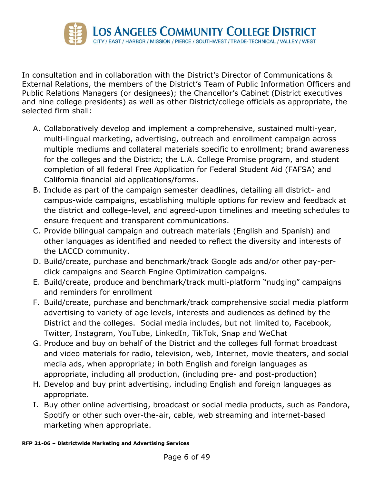

In consultation and in collaboration with the District's Director of Communications & External Relations, the members of the District's Team of Public Information Officers and Public Relations Managers (or designees); the Chancellor's Cabinet (District executives and nine college presidents) as well as other District/college officials as appropriate, the selected firm shall:

- A. Collaboratively develop and implement a comprehensive, sustained multi-year, multi-lingual marketing, advertising, outreach and enrollment campaign across multiple mediums and collateral materials specific to enrollment; brand awareness for the colleges and the District; the L.A. College Promise program, and student completion of all federal Free Application for Federal Student Aid (FAFSA) and California financial aid applications/forms.
- B. Include as part of the campaign semester deadlines, detailing all district- and campus-wide campaigns, establishing multiple options for review and feedback at the district and college-level, and agreed-upon timelines and meeting schedules to ensure frequent and transparent communications.
- C. Provide bilingual campaign and outreach materials (English and Spanish) and other languages as identified and needed to reflect the diversity and interests of the LACCD community.
- D. Build/create, purchase and benchmark/track Google ads and/or other pay-perclick campaigns and Search Engine Optimization campaigns.
- E. Build/create, produce and benchmark/track multi-platform "nudging" campaigns and reminders for enrollment
- F. Build/create, purchase and benchmark/track comprehensive social media platform advertising to variety of age levels, interests and audiences as defined by the District and the colleges. Social media includes, but not limited to, Facebook, Twitter, Instagram, YouTube, LinkedIn, TikTok, Snap and WeChat
- G. Produce and buy on behalf of the District and the colleges full format broadcast and video materials for radio, television, web, Internet, movie theaters, and social media ads, when appropriate; in both English and foreign languages as appropriate, including all production, (including pre- and post-production)
- H. Develop and buy print advertising, including English and foreign languages as appropriate.
- I. Buy other online advertising, broadcast or social media products, such as Pandora, Spotify or other such over-the-air, cable, web streaming and internet-based marketing when appropriate.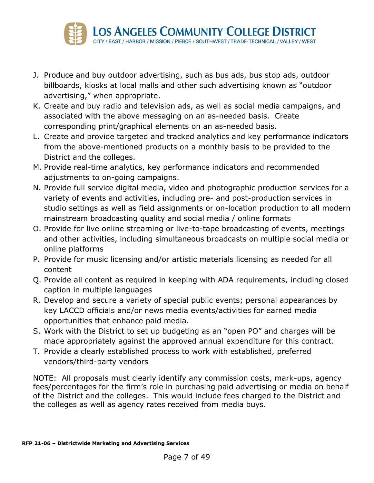

- J. Produce and buy outdoor advertising, such as bus ads, bus stop ads, outdoor billboards, kiosks at local malls and other such advertising known as "outdoor advertising," when appropriate.
- K. Create and buy radio and television ads, as well as social media campaigns, and associated with the above messaging on an as-needed basis. Create corresponding print/graphical elements on an as-needed basis.
- L. Create and provide targeted and tracked analytics and key performance indicators from the above-mentioned products on a monthly basis to be provided to the District and the colleges.
- M. Provide real-time analytics, key performance indicators and recommended adjustments to on-going campaigns.
- N. Provide full service digital media, video and photographic production services for a variety of events and activities, including pre- and post-production services in studio settings as well as field assignments or on-location production to all modern mainstream broadcasting quality and social media / online formats
- O. Provide for live online streaming or live-to-tape broadcasting of events, meetings and other activities, including simultaneous broadcasts on multiple social media or online platforms
- P. Provide for music licensing and/or artistic materials licensing as needed for all content
- Q. Provide all content as required in keeping with ADA requirements, including closed caption in multiple languages
- R. Develop and secure a variety of special public events; personal appearances by key LACCD officials and/or news media events/activities for earned media opportunities that enhance paid media.
- S. Work with the District to set up budgeting as an "open PO" and charges will be made appropriately against the approved annual expenditure for this contract.
- T. Provide a clearly established process to work with established, preferred vendors/third-party vendors

NOTE: All proposals must clearly identify any commission costs, mark-ups, agency fees/percentages for the firm's role in purchasing paid advertising or media on behalf of the District and the colleges. This would include fees charged to the District and the colleges as well as agency rates received from media buys.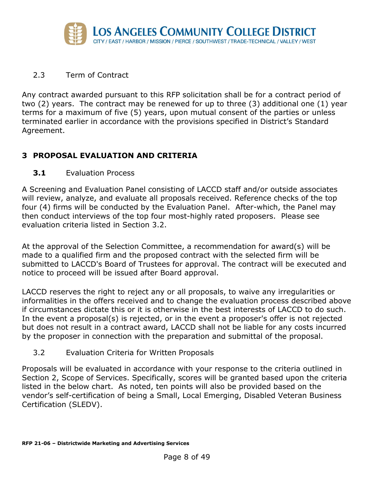

#### 2.3 Term of Contract

Any contract awarded pursuant to this RFP solicitation shall be for a contract period of two (2) years. The contract may be renewed for up to three (3) additional one (1) year terms for a maximum of five (5) years, upon mutual consent of the parties or unless terminated earlier in accordance with the provisions specified in District's Standard Agreement.

## <span id="page-7-0"></span>**3 PROPOSAL EVALUATION AND CRITERIA**

#### **3.1** Evaluation Process

A Screening and Evaluation Panel consisting of LACCD staff and/or outside associates will review, analyze, and evaluate all proposals received. Reference checks of the top four (4) firms will be conducted by the Evaluation Panel. After-which, the Panel may then conduct interviews of the top four most-highly rated proposers. Please see evaluation criteria listed in Section 3.2.

At the approval of the Selection Committee, a recommendation for award(s) will be made to a qualified firm and the proposed contract with the selected firm will be submitted to LACCD's Board of Trustees for approval. The contract will be executed and notice to proceed will be issued after Board approval.

LACCD reserves the right to reject any or all proposals, to waive any irregularities or informalities in the offers received and to change the evaluation process described above if circumstances dictate this or it is otherwise in the best interests of LACCD to do such. In the event a proposal(s) is rejected, or in the event a proposer's offer is not rejected but does not result in a contract award, LACCD shall not be liable for any costs incurred by the proposer in connection with the preparation and submittal of the proposal.

#### 3.2 Evaluation Criteria for Written Proposals

Proposals will be evaluated in accordance with your response to the criteria outlined in Section 2, Scope of Services. Specifically, scores will be granted based upon the criteria listed in the below chart. As noted, ten points will also be provided based on the vendor's self-certification of being a Small, Local Emerging, Disabled Veteran Business Certification (SLEDV).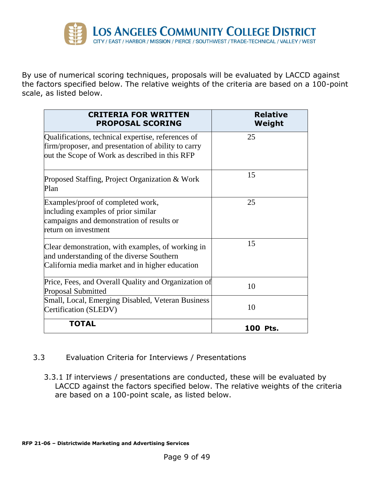

By use of numerical scoring techniques, proposals will be evaluated by LACCD against the factors specified below. The relative weights of the criteria are based on a 100-point scale, as listed below.

| <b>CRITERIA FOR WRITTEN</b><br><b>PROPOSAL SCORING</b>                                                                                                      | <b>Relative</b><br>Weight |
|-------------------------------------------------------------------------------------------------------------------------------------------------------------|---------------------------|
| Qualifications, technical expertise, references of<br>firm/proposer, and presentation of ability to carry<br>out the Scope of Work as described in this RFP | 25                        |
| Proposed Staffing, Project Organization & Work<br>Plan                                                                                                      | 15                        |
| Examples/proof of completed work,<br>including examples of prior similar<br>campaigns and demonstration of results or<br>return on investment               | 25                        |
| Clear demonstration, with examples, of working in<br>and understanding of the diverse Southern<br>California media market and in higher education           | 15                        |
| Price, Fees, and Overall Quality and Organization of<br>Proposal Submitted                                                                                  | 10                        |
| Small, Local, Emerging Disabled, Veteran Business<br>Certification (SLEDV)                                                                                  | 10                        |
| <b>TOTAL</b>                                                                                                                                                | <b>100 Pts.</b>           |

#### 3.3 Evaluation Criteria for Interviews / Presentations

3.3.1 If interviews / presentations are conducted, these will be evaluated by LACCD against the factors specified below. The relative weights of the criteria are based on a 100-point scale, as listed below.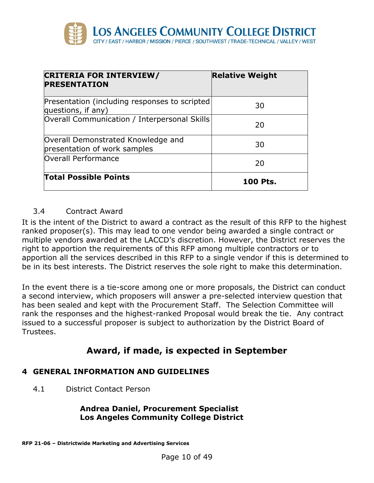

| <b>CRITERIA FOR INTERVIEW/</b><br><b>PRESENTATION</b>               | <b>Relative Weight</b> |
|---------------------------------------------------------------------|------------------------|
| Presentation (including responses to scripted<br>questions, if any) | 30                     |
| Overall Communication / Interpersonal Skills                        | 20                     |
| Overall Demonstrated Knowledge and<br>presentation of work samples  | 30                     |
| Overall Performance                                                 | 20                     |
| <b>Total Possible Points</b>                                        | 100 Pts.               |

#### 3.4 Contract Award

It is the intent of the District to award a contract as the result of this RFP to the highest ranked proposer(s). This may lead to one vendor being awarded a single contract or multiple vendors awarded at the LACCD's discretion. However, the District reserves the right to apportion the requirements of this RFP among multiple contractors or to apportion all the services described in this RFP to a single vendor if this is determined to be in its best interests. The District reserves the sole right to make this determination.

In the event there is a tie-score among one or more proposals, the District can conduct a second interview, which proposers will answer a pre-selected interview question that has been sealed and kept with the Procurement Staff. The Selection Committee will rank the responses and the highest-ranked Proposal would break the tie. Any contract issued to a successful proposer is subject to authorization by the District Board of Trustees.

# **Award, if made, is expected in September**

## <span id="page-9-0"></span>**4 GENERAL INFORMATION AND GUIDELINES**

4.1 District Contact Person

#### **Andrea Daniel, Procurement Specialist Los Angeles Community College District**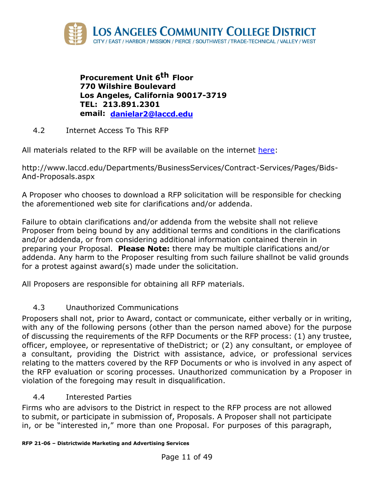

**Procurement Unit 6th Floor 770 Wilshire Boulevard Los Angeles, California 90017-3719 TEL: 213.891.2301 email: [danielar2@laccd.edu](mailto:danielar2@laccd.edu)**

4.2 Internet Access To This RFP

All materials related to the RFP will be available on the internet [here:](http://www.laccd.edu/Departments/BusinessServices/Contract-Services/Pages/Bids-And-Proposals.aspx)

http://www.laccd.edu/Departments/BusinessServices/Contract-Services/Pages/Bids-And-Proposals.aspx

A Proposer who chooses to download a RFP solicitation will be responsible for checking the aforementioned web site for clarifications and/or addenda.

Failure to obtain clarifications and/or addenda from the website shall not relieve Proposer from being bound by any additional terms and conditions in the clarifications and/or addenda, or from considering additional information contained therein in preparing your Proposal. **Please Note:** there may be multiple clarifications and/or addenda. Any harm to the Proposer resulting from such failure shallnot be valid grounds for a protest against award(s) made under the solicitation.

All Proposers are responsible for obtaining all RFP materials.

## 4.3 Unauthorized Communications

Proposers shall not, prior to Award, contact or communicate, either verbally or in writing, with any of the following persons (other than the person named above) for the purpose of discussing the requirements of the RFP Documents or the RFP process: (1) any trustee, officer, employee, or representative of theDistrict; or (2) any consultant, or employee of a consultant, providing the District with assistance, advice, or professional services relating to the matters covered by the RFP Documents or who is involved in any aspect of the RFP evaluation or scoring processes. Unauthorized communication by a Proposer in violation of the foregoing may result in disqualification.

## 4.4 Interested Parties

Firms who are advisors to the District in respect to the RFP process are not allowed to submit, or participate in submission of, Proposals. A Proposer shall not participate in, or be "interested in," more than one Proposal. For purposes of this paragraph,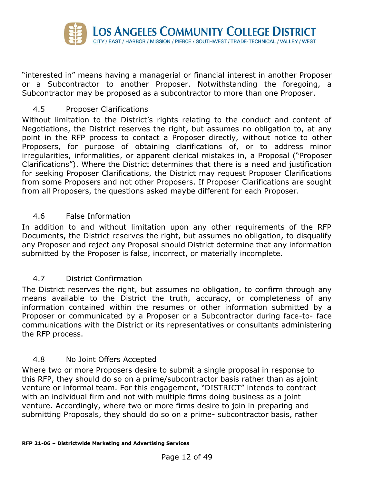

"interested in" means having a managerial or financial interest in another Proposer or a Subcontractor to another Proposer. Notwithstanding the foregoing, a Subcontractor may be proposed as a subcontractor to more than one Proposer.

#### 4.5 Proposer Clarifications

Without limitation to the District's rights relating to the conduct and content of Negotiations, the District reserves the right, but assumes no obligation to, at any point in the RFP process to contact a Proposer directly, without notice to other Proposers, for purpose of obtaining clarifications of, or to address minor irregularities, informalities, or apparent clerical mistakes in, a Proposal ("Proposer Clarifications"). Where the District determines that there is a need and justification for seeking Proposer Clarifications, the District may request Proposer Clarifications from some Proposers and not other Proposers. If Proposer Clarifications are sought from all Proposers, the questions asked maybe different for each Proposer.

#### 4.6 False Information

In addition to and without limitation upon any other requirements of the RFP Documents, the District reserves the right, but assumes no obligation, to disqualify any Proposer and reject any Proposal should District determine that any information submitted by the Proposer is false, incorrect, or materially incomplete.

#### 4.7 District Confirmation

The District reserves the right, but assumes no obligation, to confirm through any means available to the District the truth, accuracy, or completeness of any information contained within the resumes or other information submitted by a Proposer or communicated by a Proposer or a Subcontractor during face-to- face communications with the District or its representatives or consultants administering the RFP process.

#### 4.8 No Joint Offers Accepted

Where two or more Proposers desire to submit a single proposal in response to this RFP, they should do so on a prime/subcontractor basis rather than as ajoint venture or informal team. For this engagement, "DISTRICT" intends to contract with an individual firm and not with multiple firms doing business as a joint venture. Accordingly, where two or more firms desire to join in preparing and submitting Proposals, they should do so on a prime- subcontractor basis, rather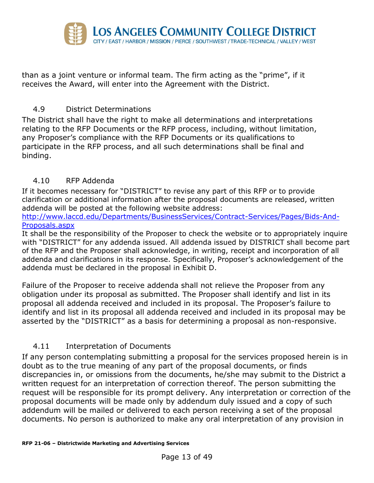

than as a joint venture or informal team. The firm acting as the "prime", if it receives the Award, will enter into the Agreement with the District.

#### 4.9 District Determinations

The District shall have the right to make all determinations and interpretations relating to the RFP Documents or the RFP process, including, without limitation, any Proposer's compliance with the RFP Documents or its qualifications to participate in the RFP process, and all such determinations shall be final and binding.

#### 4.10 RFP Addenda

If it becomes necessary for "DISTRICT" to revise any part of this RFP or to provide clarification or additional information after the proposal documents are released, written addenda will be posted at the following website address:

[http://www.laccd.edu/Departments/BusinessServices/Contract-Services/Pages/Bids-And-](http://www.laccd.edu/Departments/BusinessServices/Contract-Services/Pages/Bids-And-Proposals.aspx)[Proposals.aspx](http://www.laccd.edu/Departments/BusinessServices/Contract-Services/Pages/Bids-And-Proposals.aspx)

It shall be the responsibility of the Proposer to check the website or to appropriately inquire with "DISTRICT" for any addenda issued. All addenda issued by DISTRICT shall become part of the RFP and the Proposer shall acknowledge, in writing, receipt and incorporation of all addenda and clarifications in its response. Specifically, Proposer's acknowledgement of the addenda must be declared in the proposal in Exhibit D.

Failure of the Proposer to receive addenda shall not relieve the Proposer from any obligation under its proposal as submitted. The Proposer shall identify and list in its proposal all addenda received and included in its proposal. The Proposer's failure to identify and list in its proposal all addenda received and included in its proposal may be asserted by the "DISTRICT" as a basis for determining a proposal as non-responsive.

#### 4.11 Interpretation of Documents

If any person contemplating submitting a proposal for the services proposed herein is in doubt as to the true meaning of any part of the proposal documents, or finds discrepancies in, or omissions from the documents, he/she may submit to the District a written request for an interpretation of correction thereof. The person submitting the request will be responsible for its prompt delivery. Any interpretation or correction of the proposal documents will be made only by addendum duly issued and a copy of such addendum will be mailed or delivered to each person receiving a set of the proposal documents. No person is authorized to make any oral interpretation of any provision in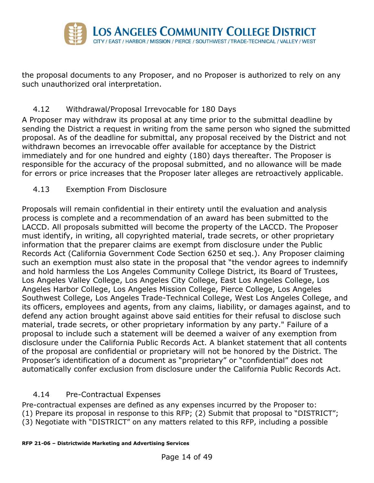

the proposal documents to any Proposer, and no Proposer is authorized to rely on any such unauthorized oral interpretation.

## 4.12 Withdrawal/Proposal Irrevocable for 180 Days

A Proposer may withdraw its proposal at any time prior to the submittal deadline by sending the District a request in writing from the same person who signed the submitted proposal. As of the deadline for submittal, any proposal received by the District and not withdrawn becomes an irrevocable offer available for acceptance by the District immediately and for one hundred and eighty (180) days thereafter. The Proposer is responsible for the accuracy of the proposal submitted, and no allowance will be made for errors or price increases that the Proposer later alleges are retroactively applicable.

#### 4.13 Exemption From Disclosure

Proposals will remain confidential in their entirety until the evaluation and analysis process is complete and a recommendation of an award has been submitted to the LACCD. All proposals submitted will become the property of the LACCD. The Proposer must identify, in writing, all copyrighted material, trade secrets, or other proprietary information that the preparer claims are exempt from disclosure under the Public Records Act (California Government Code Section 6250 et seq.). Any Proposer claiming such an exemption must also state in the proposal that "the vendor agrees to indemnify and hold harmless the Los Angeles Community College District, its Board of Trustees, Los Angeles Valley College, Los Angeles City College, East Los Angeles College, Los Angeles Harbor College, Los Angeles Mission College, Pierce College, Los Angeles Southwest College, Los Angeles Trade-Technical College, West Los Angeles College, and its officers, employees and agents, from any claims, liability, or damages against, and to defend any action brought against above said entities for their refusal to disclose such material, trade secrets, or other proprietary information by any party." Failure of a proposal to include such a statement will be deemed a waiver of any exemption from disclosure under the California Public Records Act. A blanket statement that all contents of the proposal are confidential or proprietary will not be honored by the District. The Proposer's identification of a document as "proprietary" or "confidential" does not automatically confer exclusion from disclosure under the California Public Records Act.

#### 4.14 Pre-Contractual Expenses

Pre-contractual expenses are defined as any expenses incurred by the Proposer to: (1) Prepare its proposal in response to this RFP; (2) Submit that proposal to "DISTRICT"; (3) Negotiate with "DISTRICT" on any matters related to this RFP, including a possible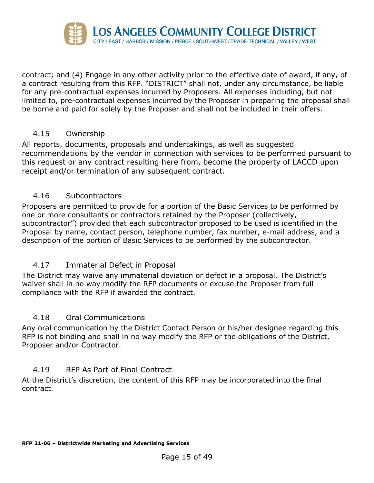

contract; and (4) Engage in any other activity prior to the effective date of award, if any, of a contract resulting from this RFP. "DISTRICT" shall not, under any circumstance, be liable for any pre-contractual expenses incurred by Proposers. All expenses including, but not limited to, pre-contractual expenses incurred by the Proposer in preparing the proposal shall be borne and paid for solely by the Proposer and shall not be included in their offers.

#### 4.15 Ownership

All reports, documents, proposals and undertakings, as well as suggested recommendations by the vendor in connection with services to be performed pursuant to this request or any contract resulting here from, become the property of LACCD upon receipt and/or termination of any subsequent contract.

#### 4.16 Subcontractors

Proposers are permitted to provide for a portion of the Basic Services to be performed by one or more consultants or contractors retained by the Proposer (collectively, subcontractor") provided that each subcontractor proposed to be used is identified in the Proposal by name, contact person, telephone number, fax number, e-mail address, and a description of the portion of Basic Services to be performed by the subcontractor.

#### 4.17 Immaterial Defect in Proposal

The District may waive any immaterial deviation or defect in a proposal. The District's waiver shall in no way modify the RFP documents or excuse the Proposer from full compliance with the RFP if awarded the contract.

#### 4.18 Oral Communications

Any oral communication by the District Contact Person or his/her designee regarding this RFP is not binding and shall in no way modify the RFP or the obligations of the District, Proposer and/or Contractor.

#### 4.19 RFP As Part of Final Contract

At the District's discretion, the content of this RFP may be incorporated into the final contract.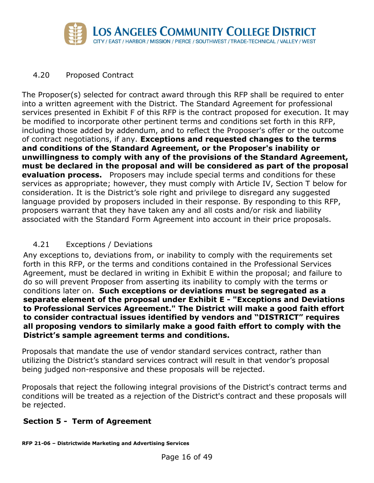

#### 4.20 Proposed Contract

The Proposer(s) selected for contract award through this RFP shall be required to enter into a written agreement with the District. The Standard Agreement for professional services presented in Exhibit F of this RFP is the contract proposed for execution. It may be modified to incorporate other pertinent terms and conditions set forth in this RFP, including those added by addendum, and to reflect the Proposer's offer or the outcome of contract negotiations, if any. **Exceptions and requested changes to the terms and conditions of the Standard Agreement, or the Proposer's inability or unwillingness to comply with any of the provisions of the Standard Agreement, must be declared in the proposal and will be considered as part of the proposal evaluation process.** Proposers may include special terms and conditions for these services as appropriate; however, they must comply with Article IV, Section T below for consideration. It is the District's sole right and privilege to disregard any suggested language provided by proposers included in their response. By responding to this RFP, proposers warrant that they have taken any and all costs and/or risk and liability associated with the Standard Form Agreement into account in their price proposals.

## 4.21 Exceptions / Deviations

Any exceptions to, deviations from, or inability to comply with the requirements set forth in this RFP, or the terms and conditions contained in the Professional Services Agreement, must be declared in writing in Exhibit E within the proposal; and failure to do so will prevent Proposer from asserting its inability to comply with the terms or conditions later on. **Such exceptions or deviations must be segregated as a separate element of the proposal under Exhibit E - "Exceptions and Deviations to Professional Services Agreement." The District will make a good faith effort to consider contractual issues identified by vendors and "DISTRICT" requires all proposing vendors to similarly make a good faith effort to comply with the District's sample agreement terms and conditions.**

Proposals that mandate the use of vendor standard services contract, rather than utilizing the District's standard services contract will result in that vendor's proposal being judged non-responsive and these proposals will be rejected.

Proposals that reject the following integral provisions of the District's contract terms and conditions will be treated as a rejection of the District's contract and these proposals will be rejected.

## **Section 5 - Term of Agreement**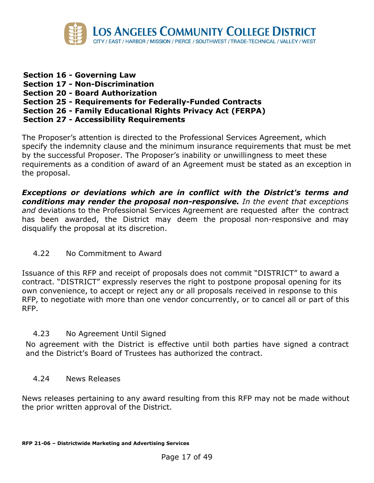

- **Section 16 - Governing Law**
- **Section 17 - Non-Discrimination**
- **Section 20 - Board Authorization**
- **Section 25 - Requirements for Federally-Funded Contracts**
- **Section 26 - Family Educational Rights Privacy Act (FERPA)**
- **Section 27 - Accessibility Requirements**

The Proposer's attention is directed to the Professional Services Agreement, which specify the indemnity clause and the minimum insurance requirements that must be met by the successful Proposer. The Proposer's inability or unwillingness to meet these requirements as a condition of award of an Agreement must be stated as an exception in the proposal.

*Exceptions or deviations which are in conflict with the District's terms and conditions may render the proposal non-responsive. In the event that exceptions and* deviations to the Professional Services Agreement are requested after the contract has been awarded, the District may deem the proposal non-responsive and may disqualify the proposal at its discretion.

4.22 No Commitment to Award

Issuance of this RFP and receipt of proposals does not commit "DISTRICT" to award a contract. "DISTRICT" expressly reserves the right to postpone proposal opening for its own convenience, to accept or reject any or all proposals received in response to this RFP, to negotiate with more than one vendor concurrently, or to cancel all or part of this RFP.

#### 4.23 No Agreement Until Signed

No agreement with the District is effective until both parties have signed a contract and the District's Board of Trustees has authorized the contract.

#### 4.24 News Releases

News releases pertaining to any award resulting from this RFP may not be made without the prior written approval of the District.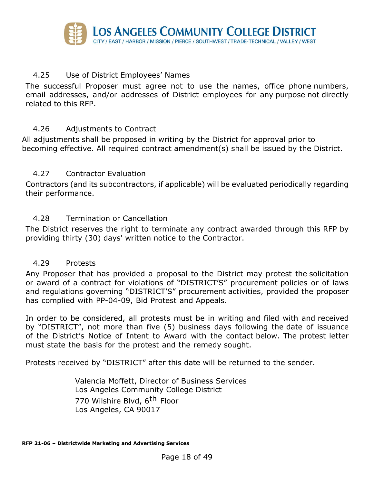

#### 4.25 Use of District Employees' Names

The successful Proposer must agree not to use the names, office phone numbers, email addresses, and/or addresses of District employees for any purpose not directly related to this RFP.

#### 4.26 Adjustments to Contract

All adjustments shall be proposed in writing by the District for approval prior to becoming effective. All required contract amendment(s) shall be issued by the District.

#### 4.27 Contractor Evaluation

Contractors (and its subcontractors, if applicable) will be evaluated periodically regarding their performance.

#### 4.28 Termination or Cancellation

The District reserves the right to terminate any contract awarded through this RFP by providing thirty (30) days' written notice to the Contractor.

#### 4.29 Protests

Any Proposer that has provided a proposal to the District may protest the solicitation or award of a contract for violations of "DISTRICT'S" procurement policies or of laws and regulations governing "DISTRICT'S" procurement activities, provided the proposer has complied with PP-04-09, Bid Protest and Appeals.

In order to be considered, all protests must be in writing and filed with and received by "DISTRICT", not more than five (5) business days following the date of issuance of the District's Notice of Intent to Award with the contact below. The protest letter must state the basis for the protest and the remedy sought.

Protests received by "DISTRICT" after this date will be returned to the sender.

Valencia Moffett, Director of Business Services Los Angeles Community College District 770 Wilshire Blvd, 6<sup>th</sup> Floor Los Angeles, CA 90017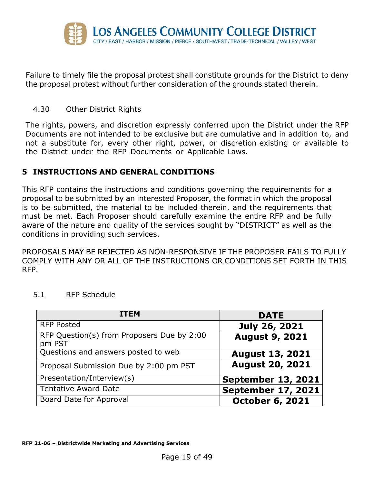

Failure to timely file the proposal protest shall constitute grounds for the District to deny the proposal protest without further consideration of the grounds stated therein.

#### 4.30 Other District Rights

The rights, powers, and discretion expressly conferred upon the District under the RFP Documents are not intended to be exclusive but are cumulative and in addition to, and not a substitute for, every other right, power, or discretion existing or available to the District under the RFP Documents or Applicable Laws.

#### <span id="page-18-0"></span>**5 INSTRUCTIONS AND GENERAL CONDITIONS**

This RFP contains the instructions and conditions governing the requirements for a proposal to be submitted by an interested Proposer, the format in which the proposal is to be submitted, the material to be included therein, and the requirements that must be met. Each Proposer should carefully examine the entire RFP and be fully aware of the nature and quality of the services sought by "DISTRICT" as well as the conditions in providing such services.

PROPOSALS MAY BE REJECTED AS NON-RESPONSIVE IF THE PROPOSER FAILS TO FULLY COMPLY WITH ANY OR ALL OF THE INSTRUCTIONS OR CONDITIONS SET FORTH IN THIS RFP.

| <b>ITEM</b>                                          | <b>DATE</b>               |
|------------------------------------------------------|---------------------------|
| <b>RFP Posted</b>                                    | July 26, 2021             |
| RFP Question(s) from Proposers Due by 2:00<br>pm PST | <b>August 9, 2021</b>     |
| Questions and answers posted to web                  | <b>August 13, 2021</b>    |
| Proposal Submission Due by 2:00 pm PST               | <b>August 20, 2021</b>    |
| Presentation/Interview(s)                            | <b>September 13, 2021</b> |
| <b>Tentative Award Date</b>                          | <b>September 17, 2021</b> |
| Board Date for Approval                              | <b>October 6, 2021</b>    |

#### 5.1 RFP Schedule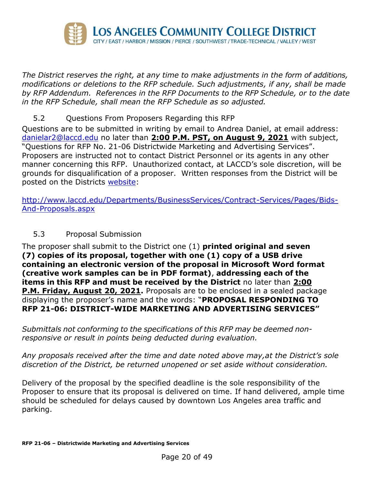

*The District reserves the right, at any time to make adjustments in the form of additions, modifications or deletions to the RFP schedule. Such adjustments, if any, shall be made by RFP Addendum. References in the RFP Documents to the RFP Schedule, or to the date in the RFP Schedule, shall mean the RFP Schedule as so adjusted.*

## 5.2 Questions From Proposers Regarding this RFP

Questions are to be submitted in writing by email to Andrea Daniel, at email address: [danielar2@laccd.edu](mailto:danielar2@laccd.edu) no later than **2:00 P.M. PST, on August 9, 2021** with subject, "Questions for RFP No. 21-06 Districtwide Marketing and Advertising Services". Proposers are instructed not to contact District Personnel or its agents in any other manner concerning this RFP. Unauthorized contact, at LACCD's sole discretion, will be grounds for disqualification of a proposer. Written responses from the District will be posted on the Districts [website:](http://www.laccd.edu/Departments/BusinessServices/Contract-Services/Pages/Bids-And-Proposals.aspx)

[http://www.laccd.edu/Departments/BusinessServices/Contract-Services/Pages/Bids-](http://www.laccd.edu/Departments/BusinessServices/Contract-Services/Pages/Bids-And-Proposals.aspx)[And-Proposals.aspx](http://www.laccd.edu/Departments/BusinessServices/Contract-Services/Pages/Bids-And-Proposals.aspx)

#### 5.3 Proposal Submission

The proposer shall submit to the District one (1) **printed original and seven (7) copies of its proposal, together with one (1) copy of a USB drive containing an electronic version of the proposal in Microsoft Word format (creative work samples can be in PDF format)**, **addressing each of the items in this RFP and must be received by the District** no later than **2:00 P.M. Friday, August 20, 2021.** Proposals are to be enclosed in a sealed package displaying the proposer's name and the words: "**PROPOSAL RESPONDING TO RFP 21-06: DISTRICT-WIDE MARKETING AND ADVERTISING SERVICES"**

*Submittals not conforming to the specifications of this RFP may be deemed nonresponsive or result in points being deducted during evaluation.*

*Any proposals received after the time and date noted above may,at the District's sole discretion of the District, be returned unopened or set aside without consideration.*

Delivery of the proposal by the specified deadline is the sole responsibility of the Proposer to ensure that its proposal is delivered on time. If hand delivered, ample time should be scheduled for delays caused by downtown Los Angeles area traffic and parking.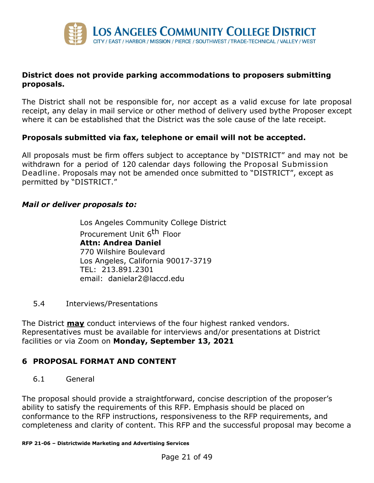

#### **District does not provide parking accommodations to proposers submitting proposals.**

The District shall not be responsible for, nor accept as a valid excuse for late proposal receipt, any delay in mail service or other method of delivery used bythe Proposer except where it can be established that the District was the sole cause of the late receipt.

#### **Proposals submitted via fax, telephone or email will not be accepted.**

All proposals must be firm offers subject to acceptance by "DISTRICT" and may not be withdrawn for a period of 120 calendar days following the Proposal Submission Deadline. Proposals may not be amended once submitted to "DISTRICT", except as permitted by "DISTRICT."

#### *Mail or deliver proposals to:*

Los Angeles Community College District Procurement Unit 6<sup>th</sup> Floor **Attn: Andrea Daniel** 770 Wilshire Boulevard Los Angeles, California 90017-3719 TEL: 213.891.2301 email: danielar2@laccd.edu

5.4 Interviews/Presentations

The District **may** conduct interviews of the four highest ranked vendors. Representatives must be available for interviews and/or presentations at District facilities or via Zoom on **Monday, September 13, 2021**

#### <span id="page-20-0"></span>**6 PROPOSAL FORMAT AND CONTENT**

6.1 General

The proposal should provide a straightforward, concise description of the proposer's ability to satisfy the requirements of this RFP. Emphasis should be placed on conformance to the RFP instructions, responsiveness to the RFP requirements, and completeness and clarity of content. This RFP and the successful proposal may become a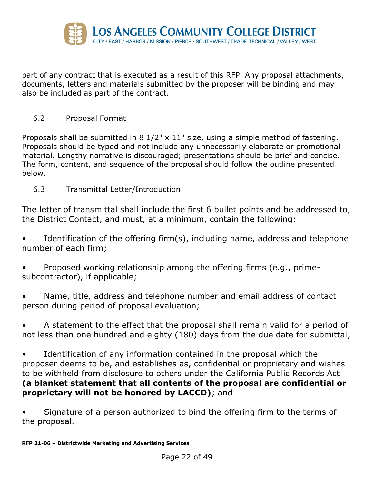

part of any contract that is executed as a result of this RFP. Any proposal attachments, documents, letters and materials submitted by the proposer will be binding and may also be included as part of the contract.

6.2 Proposal Format

Proposals shall be submitted in 8 1/2" x 11" size, using a simple method of fastening. Proposals should be typed and not include any unnecessarily elaborate or promotional material. Lengthy narrative is discouraged; presentations should be brief and concise. The form, content, and sequence of the proposal should follow the outline presented below.

6.3 Transmittal Letter/Introduction

The letter of transmittal shall include the first 6 bullet points and be addressed to, the District Contact, and must, at a minimum, contain the following:

Identification of the offering firm(s), including name, address and telephone number of each firm;

• Proposed working relationship among the offering firms (e.g., primesubcontractor), if applicable;

Name, title, address and telephone number and email address of contact person during period of proposal evaluation;

• A statement to the effect that the proposal shall remain valid for a period of not less than one hundred and eighty (180) days from the due date for submittal;

• Identification of any information contained in the proposal which the proposer deems to be, and establishes as, confidential or proprietary and wishes to be withheld from disclosure to others under the California Public Records Act **(a blanket statement that all contents of the proposal are confidential or proprietary will not be honored by LACCD)**; and

• Signature of a person authorized to bind the offering firm to the terms of the proposal.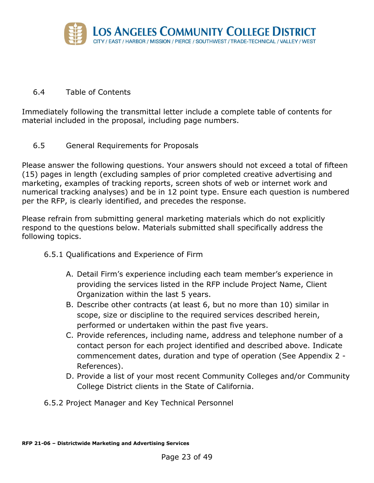

#### 6.4 Table of Contents

Immediately following the transmittal letter include a complete table of contents for material included in the proposal, including page numbers.

6.5 General Requirements for Proposals

Please answer the following questions. Your answers should not exceed a total of fifteen (15) pages in length (excluding samples of prior completed creative advertising and marketing, examples of tracking reports, screen shots of web or internet work and numerical tracking analyses) and be in 12 point type. Ensure each question is numbered per the RFP, is clearly identified, and precedes the response.

Please refrain from submitting general marketing materials which do not explicitly respond to the questions below. Materials submitted shall specifically address the following topics.

- 6.5.1 Qualifications and Experience of Firm
	- A. Detail Firm's experience including each team member's experience in providing the services listed in the RFP include Project Name, Client Organization within the last 5 years.
	- B. Describe other contracts (at least 6, but no more than 10) similar in scope, size or discipline to the required services described herein, performed or undertaken within the past five years.
	- C. Provide references, including name, address and telephone number of a contact person for each project identified and described above. Indicate commencement dates, duration and type of operation (See Appendix 2 - References).
	- D. Provide a list of your most recent Community Colleges and/or Community College District clients in the State of California.
- 6.5.2 Project Manager and Key Technical Personnel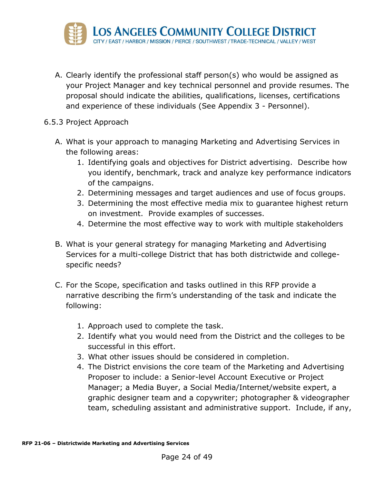

- A. Clearly identify the professional staff person(s) who would be assigned as your Project Manager and key technical personnel and provide resumes. The proposal should indicate the abilities, qualifications, licenses, certifications and experience of these individuals (See Appendix 3 - Personnel).
- 6.5.3 Project Approach
	- A. What is your approach to managing Marketing and Advertising Services in the following areas:
		- 1. Identifying goals and objectives for District advertising. Describe how you identify, benchmark, track and analyze key performance indicators of the campaigns.
		- 2. Determining messages and target audiences and use of focus groups.
		- 3. Determining the most effective media mix to guarantee highest return on investment. Provide examples of successes.
		- 4. Determine the most effective way to work with multiple stakeholders
	- B. What is your general strategy for managing Marketing and Advertising Services for a multi-college District that has both districtwide and collegespecific needs?
	- C. For the Scope, specification and tasks outlined in this RFP provide a narrative describing the firm's understanding of the task and indicate the following:
		- 1. Approach used to complete the task.
		- 2. Identify what you would need from the District and the colleges to be successful in this effort.
		- 3. What other issues should be considered in completion.
		- 4. The District envisions the core team of the Marketing and Advertising Proposer to include: a Senior-level Account Executive or Project Manager; a Media Buyer, a Social Media/Internet/website expert, a graphic designer team and a copywriter; photographer & videographer team, scheduling assistant and administrative support. Include, if any,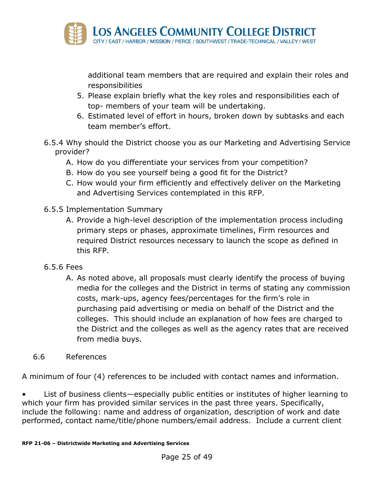

additional team members that are required and explain their roles and responsibilities

- 5. Please explain briefly what the key roles and responsibilities each of top- members of your team will be undertaking.
- 6. Estimated level of effort in hours, broken down by subtasks and each team member's effort.
- 6.5.4 Why should the District choose you as our Marketing and Advertising Service provider?
	- A. How do you differentiate your services from your competition?
	- B. How do you see yourself being a good fit for the District?
	- C. How would your firm efficiently and effectively deliver on the Marketing and Advertising Services contemplated in this RFP.
- 6.5.5 Implementation Summary
	- A. Provide a high-level description of the implementation process including primary steps or phases, approximate timelines, Firm resources and required District resources necessary to launch the scope as defined in this RFP.
- 6.5.6 Fees
	- A. As noted above, all proposals must clearly identify the process of buying media for the colleges and the District in terms of stating any commission costs, mark-ups, agency fees/percentages for the firm's role in purchasing paid advertising or media on behalf of the District and the colleges. This should include an explanation of how fees are charged to the District and the colleges as well as the agency rates that are received from media buys.
- 6.6 References

A minimum of four (4) references to be included with contact names and information.

List of business clients—especially public entities or institutes of higher learning to which your firm has provided similar services in the past three years. Specifically, include the following: name and address of organization, description of work and date performed, contact name/title/phone numbers/email address. Include a current client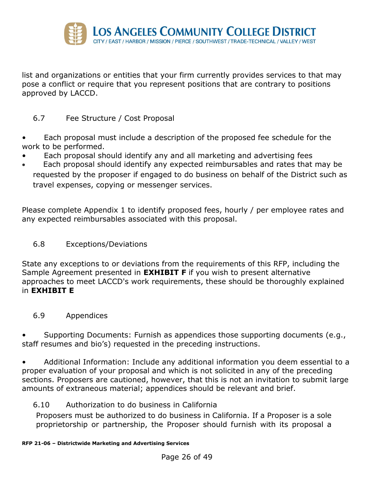

list and organizations or entities that your firm currently provides services to that may pose a conflict or require that you represent positions that are contrary to positions approved by LACCD.

#### 6.7 Fee Structure / Cost Proposal

- Each proposal must include a description of the proposed fee schedule for the work to be performed.
- Each proposal should identify any and all marketing and advertising fees
- Each proposal should identify any expected reimbursables and rates that may be requested by the proposer if engaged to do business on behalf of the District such as travel expenses, copying or messenger services.

Please complete Appendix 1 to identify proposed fees, hourly / per employee rates and any expected reimbursables associated with this proposal.

#### 6.8 Exceptions/Deviations

State any exceptions to or deviations from the requirements of this RFP, including the Sample Agreement presented in **EXHIBIT F** if you wish to present alternative approaches to meet LACCD's work requirements, these should be thoroughly explained in **EXHIBIT E**

#### 6.9 Appendices

• Supporting Documents: Furnish as appendices those supporting documents (e.g., staff resumes and bio's) requested in the preceding instructions.

• Additional Information: Include any additional information you deem essential to a proper evaluation of your proposal and which is not solicited in any of the preceding sections. Proposers are cautioned, however, that this is not an invitation to submit large amounts of extraneous material; appendices should be relevant and brief.

#### 6.10 Authorization to do business in California

Proposers must be authorized to do business in California. If a Proposer is a sole proprietorship or partnership, the Proposer should furnish with its proposal a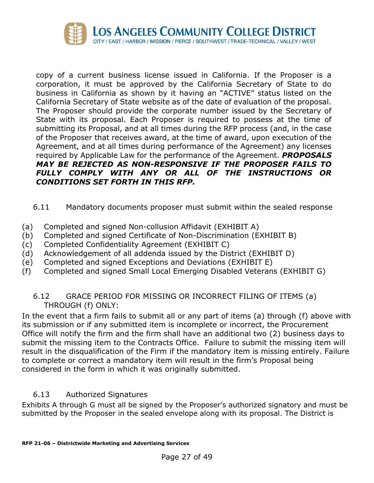

copy of a current business license issued in California. If the Proposer is a corporation, it must be approved by the California Secretary of State to do business in California as shown by it having an "ACTIVE" status listed on the California Secretary of State website as of the date of evaluation of the proposal. The Proposer should provide the corporate number issued by the Secretary of State with its proposal. Each Proposer is required to possess at the time of submitting its Proposal, and at all times during the RFP process (and, in the case of the Proposer that receives award, at the time of award, upon execution of the Agreement, and at all times during performance of the Agreement) any licenses required by Applicable Law for the performance of the Agreement. *PROPOSALS MAY BE REJECTED AS NON-RESPONSIVE IF THE PROPOSER FAILS TO FULLY COMPLY WITH ANY OR ALL OF THE INSTRUCTIONS OR CONDITIONS SET FORTH IN THIS RFP.*

#### 6.11 Mandatory documents proposer must submit within the sealed response

- (a) Completed and signed Non-collusion Affidavit (EXHIBIT A)
- (b) Completed and signed Certificate of Non-Discrimination (EXHIBIT B)
- (c) Completed Confidentiality Agreement (EXHIBIT C)
- (d) Acknowledgement of all addenda issued by the District (EXHIBIT D)
- (e) Completed and signed Exceptions and Deviations (EXHIBIT E)
- (f) Completed and signed Small Local Emerging Disabled Veterans (EXHIBIT G)

#### 6.12 GRACE PERIOD FOR MISSING OR INCORRECT FILING OF ITEMS (a) THROUGH (f) ONLY:

In the event that a firm fails to submit all or any part of items (a) through (f) above with its submission or if any submitted item is incomplete or incorrect, the Procurement Office will notify the firm and the firm shall have an additional two (2) business days to submit the missing item to the Contracts Office. Failure to submit the missing item will result in the disqualification of the Firm if the mandatory item is missing entirely. Failure to complete or correct a mandatory item will result in the firm's Proposal being considered in the form in which it was originally submitted.

#### 6.13 Authorized Signatures

Exhibits A through G must all be signed by the Proposer's authorized signatory and must be submitted by the Proposer in the sealed envelope along with its proposal. The District is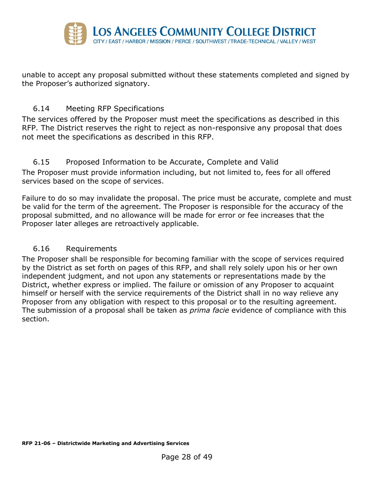

unable to accept any proposal submitted without these statements completed and signed by the Proposer's authorized signatory.

#### 6.14 Meeting RFP Specifications

The services offered by the Proposer must meet the specifications as described in this RFP. The District reserves the right to reject as non-responsive any proposal that does not meet the specifications as described in this RFP.

#### 6.15 Proposed Information to be Accurate, Complete and Valid

The Proposer must provide information including, but not limited to, fees for all offered services based on the scope of services.

Failure to do so may invalidate the proposal. The price must be accurate, complete and must be valid for the term of the agreement. The Proposer is responsible for the accuracy of the proposal submitted, and no allowance will be made for error or fee increases that the Proposer later alleges are retroactively applicable.

#### 6.16 Requirements

The Proposer shall be responsible for becoming familiar with the scope of services required by the District as set forth on pages of this RFP, and shall rely solely upon his or her own independent judgment, and not upon any statements or representations made by the District, whether express or implied. The failure or omission of any Proposer to acquaint himself or herself with the service requirements of the District shall in no way relieve any Proposer from any obligation with respect to this proposal or to the resulting agreement. The submission of a proposal shall be taken as *prima facie* evidence of compliance with this section.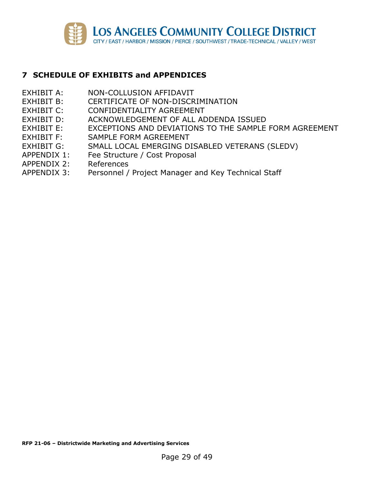

#### <span id="page-28-0"></span>**7 SCHEDULE OF EXHIBITS and APPENDICES**

- EXHIBIT A: NON-COLLUSION AFFIDAVIT
- EXHIBIT B: CERTIFICATE OF NON-DISCRIMINATION
- EXHIBIT C: CONFIDENTIALITY AGREEMENT
- EXHIBIT D: ACKNOWLEDGEMENT OF ALL ADDENDA ISSUED
- EXHIBIT E: EXCEPTIONS AND DEVIATIONS TO THE SAMPLE FORM AGREEMENT
- EXHIBIT F: SAMPLE FORM AGREEMENT
- EXHIBIT G: SMALL LOCAL EMERGING DISABLED VETERANS (SLEDV)
- APPENDIX 1: Fee Structure / Cost Proposal
- APPENDIX 2: References
- APPENDIX 3: Personnel / Project Manager and Key Technical Staff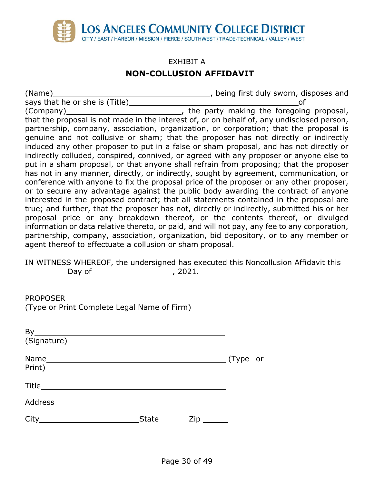

# EXHIBIT A **NON-COLLUSION AFFIDAVIT**

(Name) , being first duly sworn, disposes and says that he or she is (Title) of (Company) (Company)  $\sim$   $\sim$   $\sim$   $\sim$   $\sim$   $\sim$   $\sim$  , the party making the foregoing proposal, that the proposal is not made in the interest of, or on behalf of, any undisclosed person, partnership, company, association, organization, or corporation; that the proposal is genuine and not collusive or sham; that the proposer has not directly or indirectly induced any other proposer to put in a false or sham proposal, and has not directly or indirectly colluded, conspired, connived, or agreed with any proposer or anyone else to put in a sham proposal, or that anyone shall refrain from proposing; that the proposer has not in any manner, directly, or indirectly, sought by agreement, communication, or conference with anyone to fix the proposal price of the proposer or any other proposer, or to secure any advantage against the public body awarding the contract of anyone interested in the proposed contract; that all statements contained in the proposal are true; and further, that the proposer has not, directly or indirectly, submitted his or her proposal price or any breakdown thereof, or the contents thereof, or divulged information or data relative thereto, or paid, and will not pay, any fee to any corporation, partnership, company, association, organization, bid depository, or to any member or agent thereof to effectuate a collusion or sham proposal.

IN WITNESS WHEREOF, the undersigned has executed this Noncollusion Affidavit this Day of , 2021.

| (Type or Print Complete Legal Name of Firm)               |              |                           |  |
|-----------------------------------------------------------|--------------|---------------------------|--|
|                                                           |              |                           |  |
|                                                           |              |                           |  |
| (Signature)                                               |              |                           |  |
|                                                           |              |                           |  |
| Print)                                                    |              |                           |  |
|                                                           |              |                           |  |
|                                                           |              |                           |  |
| City<br><u> 1980 - Johann Barbara, martxa alemaniar a</u> | <b>State</b> | $Zip$ <sub>________</sub> |  |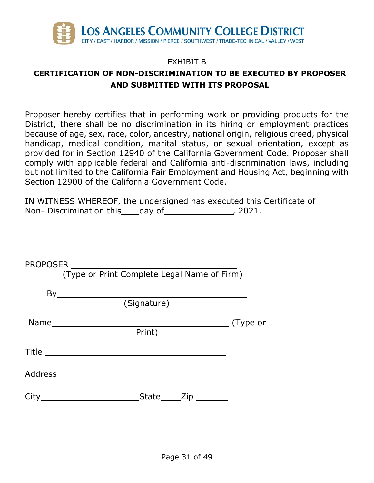

## EXHIBIT B

# **CERTIFICATION OF NON-DISCRIMINATION TO BE EXECUTED BY PROPOSER AND SUBMITTED WITH ITS PROPOSAL**

Proposer hereby certifies that in performing work or providing products for the District, there shall be no discrimination in its hiring or employment practices because of age, sex, race, color, ancestry, national origin, religious creed, physical handicap, medical condition, marital status, or sexual orientation, except as provided for in Section 12940 of the California Government Code. Proposer shall comply with applicable federal and California anti-discrimination laws, including but not limited to the California Fair Employment and Housing Act, beginning with Section 12900 of the California Government Code.

IN WITNESS WHEREOF, the undersigned has executed this Certificate of Non- Discrimination this day of , 2021.

| (Type or Print Complete Legal Name of Firm)            |  |
|--------------------------------------------------------|--|
| $By \underline{\hspace{2cm}} \underline{\hspace{2cm}}$ |  |
| (Signature)                                            |  |
| Name (Type or                                          |  |
| Print)                                                 |  |
|                                                        |  |
|                                                        |  |
|                                                        |  |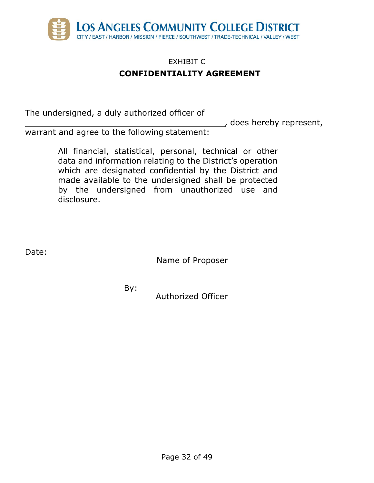

# EXHIBIT C **CONFIDENTIALITY AGREEMENT**

The undersigned, a duly authorized officer of

Laster does hereby represent,

warrant and agree to the following statement:

All financial, statistical, personal, technical or other data and information relating to the District's operation which are designated confidential by the District and made available to the undersigned shall be protected by the undersigned from unauthorized use and disclosure.

Date:

Name of Proposer

By:

Authorized Officer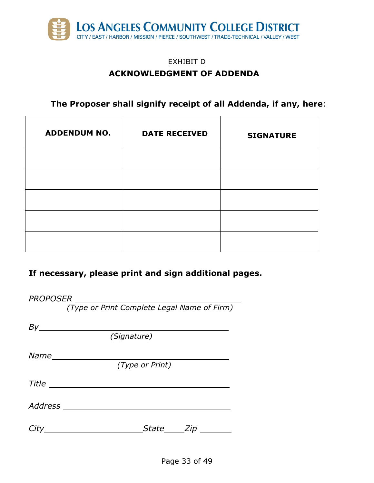

# EXHIBIT D **ACKNOWLEDGMENT OF ADDENDA**

**The Proposer shall signify receipt of all Addenda, if any, here**:

| <b>ADDENDUM NO.</b> | <b>DATE RECEIVED</b> | <b>SIGNATURE</b> |
|---------------------|----------------------|------------------|
|                     |                      |                  |
|                     |                      |                  |
|                     |                      |                  |
|                     |                      |                  |
|                     |                      |                  |

# **If necessary, please print and sign additional pages.**

| (Type or Print Complete Legal Name of Firm) |  |  |  |
|---------------------------------------------|--|--|--|
| $By$ and $\overline{a}$                     |  |  |  |
| (Signature)                                 |  |  |  |
|                                             |  |  |  |
| (Type or Print)                             |  |  |  |
|                                             |  |  |  |
| Address _________________________           |  |  |  |
| _State______Zip _____                       |  |  |  |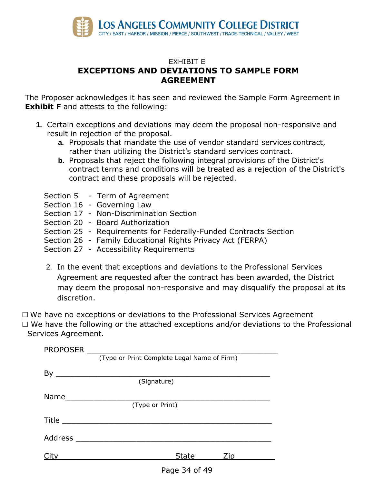

## EXHIBIT E **EXCEPTIONS AND DEVIATIONS TO SAMPLE FORM AGREEMENT**

The Proposer acknowledges it has seen and reviewed the Sample Form Agreement in **Exhibit F** and attests to the following:

- **1.** Certain exceptions and deviations may deem the proposal non-responsive and result in rejection of the proposal.
	- **a.** Proposals that mandate the use of vendor standard services contract, rather than utilizing the District's standard services contract.
	- **b.** Proposals that reject the following integral provisions of the District's contract terms and conditions will be treated as a rejection of the District's contract and these proposals will be rejected.
	- Section 5 Term of Agreement
	- Section 16 Governing Law
	- Section 17 Non-Discrimination Section
	- Section 20 Board Authorization
	- Section 25 Requirements for Federally-Funded Contracts Section
	- Section 26 Family Educational Rights Privacy Act (FERPA)
	- Section 27 Accessibility Requirements
	- 2. In the event that exceptions and deviations to the Professional Services Agreement are requested after the contract has been awarded, the District may deem the proposal non-responsive and may disqualify the proposal at its discretion.

☐ We have no exceptions or deviations to the Professional Services Agreement ☐ We have the following or the attached exceptions and/or deviations to the Professional Services Agreement.

| <b>PROPOSER</b> |                                             |  |  |  |
|-----------------|---------------------------------------------|--|--|--|
|                 | (Type or Print Complete Legal Name of Firm) |  |  |  |
|                 |                                             |  |  |  |
|                 | (Signature)                                 |  |  |  |
|                 |                                             |  |  |  |
|                 | (Type or Print)                             |  |  |  |
|                 |                                             |  |  |  |
| Address         |                                             |  |  |  |
|                 | <b>State</b><br>Zip                         |  |  |  |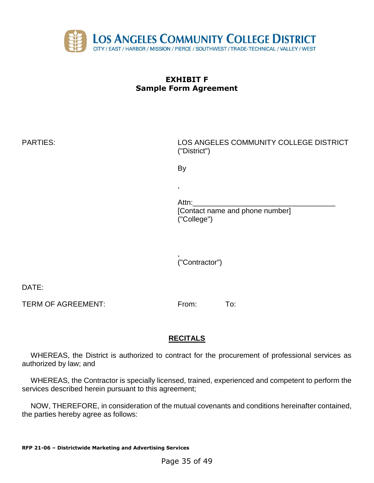

| <b>PARTIES:</b> | LOS ANGELES COMMUNITY COLLEGE DISTRICT<br>("District")  |  |  |
|-----------------|---------------------------------------------------------|--|--|
|                 | By                                                      |  |  |
|                 | ,                                                       |  |  |
|                 | Attn:<br>[Contact name and phone number]<br>("College") |  |  |

, ("Contractor")

DATE:

TERM OF AGREEMENT: From: To:

## **RECITALS**

WHEREAS, the District is authorized to contract for the procurement of professional services as authorized by law; and

WHEREAS, the Contractor is specially licensed, trained, experienced and competent to perform the services described herein pursuant to this agreement;

NOW, THEREFORE, in consideration of the mutual covenants and conditions hereinafter contained, the parties hereby agree as follows: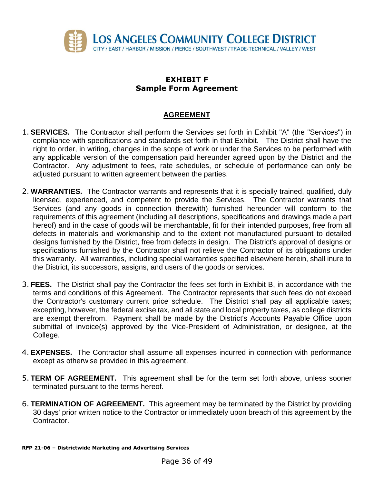

#### **AGREEMENT**

- 1. **SERVICES.** The Contractor shall perform the Services set forth in Exhibit "A" (the "Services") in compliance with specifications and standards set forth in that Exhibit. The District shall have the right to order, in writing, changes in the scope of work or under the Services to be performed with any applicable version of the compensation paid hereunder agreed upon by the District and the Contractor. Any adjustment to fees, rate schedules, or schedule of performance can only be adjusted pursuant to written agreement between the parties.
- 2. **WARRANTIES.** The Contractor warrants and represents that it is specially trained, qualified, duly licensed, experienced, and competent to provide the Services. The Contractor warrants that Services (and any goods in connection therewith) furnished hereunder will conform to the requirements of this agreement (including all descriptions, specifications and drawings made a part hereof) and in the case of goods will be merchantable, fit for their intended purposes, free from all defects in materials and workmanship and to the extent not manufactured pursuant to detailed designs furnished by the District, free from defects in design. The District's approval of designs or specifications furnished by the Contractor shall not relieve the Contractor of its obligations under this warranty. All warranties, including special warranties specified elsewhere herein, shall inure to the District, its successors, assigns, and users of the goods or services.
- 3. **FEES.** The District shall pay the Contractor the fees set forth in Exhibit B, in accordance with the terms and conditions of this Agreement. The Contractor represents that such fees do not exceed the Contractor's customary current price schedule. The District shall pay all applicable taxes; excepting, however, the federal excise tax, and all state and local property taxes, as college districts are exempt therefrom. Payment shall be made by the District's Accounts Payable Office upon submittal of invoice(s) approved by the Vice-President of Administration, or designee, at the College.
- 4. **EXPENSES.** The Contractor shall assume all expenses incurred in connection with performance except as otherwise provided in this agreement.
- 5. **TERM OF AGREEMENT.** This agreement shall be for the term set forth above, unless sooner terminated pursuant to the terms hereof.
- 6. **TERMINATION OF AGREEMENT.** This agreement may be terminated by the District by providing 30 days' prior written notice to the Contractor or immediately upon breach of this agreement by the Contractor.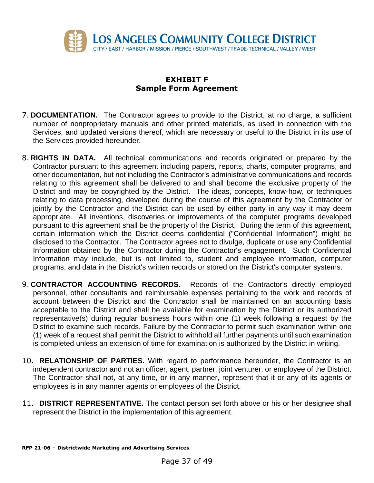

- 7. **DOCUMENTATION.** The Contractor agrees to provide to the District, at no charge, a sufficient number of nonproprietary manuals and other printed materials, as used in connection with the Services, and updated versions thereof, which are necessary or useful to the District in its use of the Services provided hereunder.
- 8. **RIGHTS IN DATA.** All technical communications and records originated or prepared by the Contractor pursuant to this agreement including papers, reports, charts, computer programs, and other documentation, but not including the Contractor's administrative communications and records relating to this agreement shall be delivered to and shall become the exclusive property of the District and may be copyrighted by the District. The ideas, concepts, know-how, or techniques relating to data processing, developed during the course of this agreement by the Contractor or jointly by the Contractor and the District can be used by either party in any way it may deem appropriate. All inventions, discoveries or improvements of the computer programs developed pursuant to this agreement shall be the property of the District. During the term of this agreement, certain information which the District deems confidential ("Confidential Information") might be disclosed to the Contractor. The Contractor agrees not to divulge, duplicate or use any Confidential Information obtained by the Contractor during the Contractor's engagement. Such Confidential Information may include, but is not limited to, student and employee information, computer programs, and data in the District's written records or stored on the District's computer systems.
- 9. **CONTRACTOR ACCOUNTING RECORDS.** Records of the Contractor's directly employed personnel, other consultants and reimbursable expenses pertaining to the work and records of account between the District and the Contractor shall be maintained on an accounting basis acceptable to the District and shall be available for examination by the District or its authorized representative(s) during regular business hours within one (1) week following a request by the District to examine such records. Failure by the Contractor to permit such examination within one (1) week of a request shall permit the District to withhold all further payments until such examination is completed unless an extension of time for examination is authorized by the District in writing.
- 10. **RELATIONSHIP OF PARTIES.** With regard to performance hereunder, the Contractor is an independent contractor and not an officer, agent, partner, joint venturer, or employee of the District. The Contractor shall not, at any time, or in any manner, represent that it or any of its agents or employees is in any manner agents or employees of the District.
- 11. **DISTRICT REPRESENTATIVE.** The contact person set forth above or his or her designee shall represent the District in the implementation of this agreement.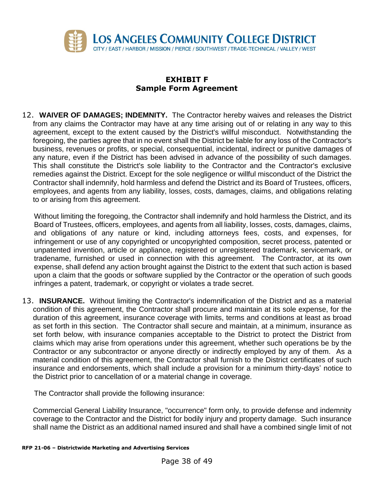

12. **WAIVER OF DAMAGES; INDEMNITY.** The Contractor hereby waives and releases the District from any claims the Contractor may have at any time arising out of or relating in any way to this agreement, except to the extent caused by the District's willful misconduct. Notwithstanding the foregoing, the parties agree that in no event shall the District be liable for any loss of the Contractor's business, revenues or profits, or special, consequential, incidental, indirect or punitive damages of any nature, even if the District has been advised in advance of the possibility of such damages. This shall constitute the District's sole liability to the Contractor and the Contractor's exclusive remedies against the District. Except for the sole negligence or willful misconduct of the District the Contractor shall indemnify, hold harmless and defend the District and its Board of Trustees, officers, employees, and agents from any liability, losses, costs, damages, claims, and obligations relating to or arising from this agreement.

Without limiting the foregoing, the Contractor shall indemnify and hold harmless the District, and its Board of Trustees, officers, employees, and agents from all liability, losses, costs, damages, claims, and obligations of any nature or kind, including attorneys fees, costs, and expenses, for infringement or use of any copyrighted or uncopyrighted composition, secret process, patented or unpatented invention, article or appliance, registered or unregistered trademark, servicemark, or tradename, furnished or used in connection with this agreement. The Contractor, at its own expense, shall defend any action brought against the District to the extent that such action is based upon a claim that the goods or software supplied by the Contractor or the operation of such goods infringes a patent, trademark, or copyright or violates a trade secret.

13. **INSURANCE.** Without limiting the Contractor's indemnification of the District and as a material condition of this agreement, the Contractor shall procure and maintain at its sole expense, for the duration of this agreement, insurance coverage with limits, terms and conditions at least as broad as set forth in this section. The Contractor shall secure and maintain, at a minimum, insurance as set forth below, with insurance companies acceptable to the District to protect the District from claims which may arise from operations under this agreement, whether such operations be by the Contractor or any subcontractor or anyone directly or indirectly employed by any of them. As a material condition of this agreement, the Contractor shall furnish to the District certificates of such insurance and endorsements, which shall include a provision for a minimum thirty-days' notice to the District prior to cancellation of or a material change in coverage.

The Contractor shall provide the following insurance:

Commercial General Liability Insurance, "occurrence" form only, to provide defense and indemnity coverage to the Contractor and the District for bodily injury and property damage. Such insurance shall name the District as an additional named insured and shall have a combined single limit of not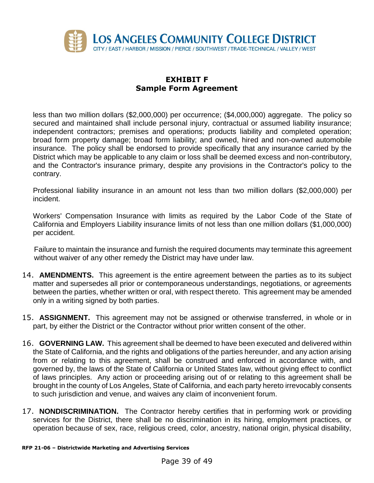

less than two million dollars (\$2,000,000) per occurrence; (\$4,000,000) aggregate. The policy so secured and maintained shall include personal injury, contractual or assumed liability insurance; independent contractors; premises and operations; products liability and completed operation; broad form property damage; broad form liability; and owned, hired and non-owned automobile insurance. The policy shall be endorsed to provide specifically that any insurance carried by the District which may be applicable to any claim or loss shall be deemed excess and non-contributory, and the Contractor's insurance primary, despite any provisions in the Contractor's policy to the contrary.

Professional liability insurance in an amount not less than two million dollars (\$2,000,000) per incident.

Workers' Compensation Insurance with limits as required by the Labor Code of the State of California and Employers Liability insurance limits of not less than one million dollars (\$1,000,000) per accident.

Failure to maintain the insurance and furnish the required documents may terminate this agreement without waiver of any other remedy the District may have under law.

- 14. **AMENDMENTS.** This agreement is the entire agreement between the parties as to its subject matter and supersedes all prior or contemporaneous understandings, negotiations, or agreements between the parties, whether written or oral, with respect thereto. This agreement may be amended only in a writing signed by both parties.
- 15. **ASSIGNMENT.** This agreement may not be assigned or otherwise transferred, in whole or in part, by either the District or the Contractor without prior written consent of the other.
- 16. **GOVERNING LAW.** This agreement shall be deemed to have been executed and delivered within the State of California, and the rights and obligations of the parties hereunder, and any action arising from or relating to this agreement, shall be construed and enforced in accordance with, and governed by, the laws of the State of California or United States law, without giving effect to conflict of laws principles. Any action or proceeding arising out of or relating to this agreement shall be brought in the county of Los Angeles, State of California, and each party hereto irrevocably consents to such jurisdiction and venue, and waives any claim of inconvenient forum.
- 17. **NONDISCRIMINATION.** The Contractor hereby certifies that in performing work or providing services for the District, there shall be no discrimination in its hiring, employment practices, or operation because of sex, race, religious creed, color, ancestry, national origin, physical disability,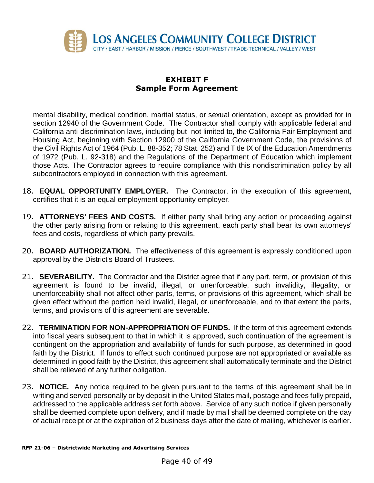

mental disability, medical condition, marital status, or sexual orientation, except as provided for in section 12940 of the Government Code. The Contractor shall comply with applicable federal and California anti-discrimination laws, including but not limited to, the California Fair Employment and Housing Act, beginning with Section 12900 of the California Government Code, the provisions of the Civil Rights Act of 1964 (Pub. L. 88-352; 78 Stat. 252) and Title IX of the Education Amendments of 1972 (Pub. L. 92-318) and the Regulations of the Department of Education which implement those Acts. The Contractor agrees to require compliance with this nondiscrimination policy by all subcontractors employed in connection with this agreement.

- 18. **EQUAL OPPORTUNITY EMPLOYER.** The Contractor, in the execution of this agreement, certifies that it is an equal employment opportunity employer.
- 19. **ATTORNEYS' FEES AND COSTS.** If either party shall bring any action or proceeding against the other party arising from or relating to this agreement, each party shall bear its own attorneys' fees and costs, regardless of which party prevails.
- 20. **BOARD AUTHORIZATION.** The effectiveness of this agreement is expressly conditioned upon approval by the District's Board of Trustees.
- 21. **SEVERABILITY.** The Contractor and the District agree that if any part, term, or provision of this agreement is found to be invalid, illegal, or unenforceable, such invalidity, illegality, or unenforceability shall not affect other parts, terms, or provisions of this agreement, which shall be given effect without the portion held invalid, illegal, or unenforceable, and to that extent the parts, terms, and provisions of this agreement are severable.
- 22. **TERMINATION FOR NON-APPROPRIATION OF FUNDS.** If the term of this agreement extends into fiscal years subsequent to that in which it is approved, such continuation of the agreement is contingent on the appropriation and availability of funds for such purpose, as determined in good faith by the District. If funds to effect such continued purpose are not appropriated or available as determined in good faith by the District, this agreement shall automatically terminate and the District shall be relieved of any further obligation.
- 23. **NOTICE.** Any notice required to be given pursuant to the terms of this agreement shall be in writing and served personally or by deposit in the United States mail, postage and fees fully prepaid, addressed to the applicable address set forth above. Service of any such notice if given personally shall be deemed complete upon delivery, and if made by mail shall be deemed complete on the day of actual receipt or at the expiration of 2 business days after the date of mailing, whichever is earlier.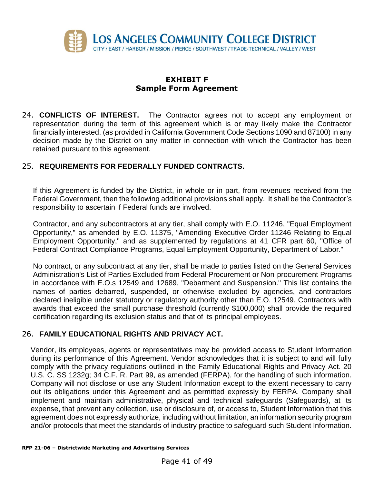

24. **CONFLICTS OF INTEREST.** The Contractor agrees not to accept any employment or representation during the term of this agreement which is or may likely make the Contractor financially interested. (as provided in California Government Code Sections 1090 and 87100) in any decision made by the District on any matter in connection with which the Contractor has been retained pursuant to this agreement.

#### 25. **REQUIREMENTS FOR FEDERALLY FUNDED CONTRACTS.**

If this Agreement is funded by the District, in whole or in part, from revenues received from the Federal Government, then the following additional provisions shall apply. It shall be the Contractor's responsibility to ascertain if Federal funds are involved.

Contractor, and any subcontractors at any tier, shall comply with E.O. 11246, "Equal Employment Opportunity," as amended by E.O. 11375, "Amending Executive Order 11246 Relating to Equal Employment Opportunity," and as supplemented by regulations at 41 CFR part 60, "Office of Federal Contract Compliance Programs, Equal Employment Opportunity, Department of Labor."

No contract, or any subcontract at any tier, shall be made to parties listed on the General Services Administration's List of Parties Excluded from Federal Procurement or Non-procurement Programs in accordance with E.O.s 12549 and 12689, "Debarment and Suspension." This list contains the names of parties debarred, suspended, or otherwise excluded by agencies, and contractors declared ineligible under statutory or regulatory authority other than E.O. 12549. Contractors with awards that exceed the small purchase threshold (currently \$100,000) shall provide the required certification regarding its exclusion status and that of its principal employees.

#### 26. **FAMILY EDUCATIONAL RIGHTS AND PRIVACY ACT.**

Vendor, its employees, agents or representatives may be provided access to Student Information during its performance of this Agreement. Vendor acknowledges that it is subject to and will fully comply with the privacy regulations outlined in the Family Educational Rights and Privacy Act. 20 U.S. C. SS 1232g; 34 C.F. R. Part 99, as amended (FERPA), for the handling of such information. Company will not disclose or use any Student Information except to the extent necessary to carry out its obligations under this Agreement and as permitted expressly by FERPA. Company shall implement and maintain administrative, physical and technical safeguards (Safeguards), at its expense, that prevent any collection, use or disclosure of, or access to, Student Information that this agreement does not expressly authorize, including without limitation, an information security program and/or protocols that meet the standards of industry practice to safeguard such Student Information.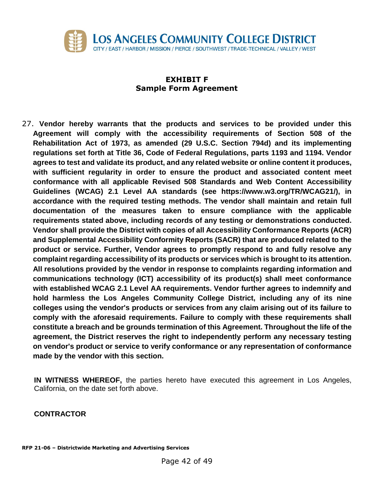

27. **Vendor hereby warrants that the products and services to be provided under this Agreement will comply with the accessibility requirements of Section 508 of the Rehabilitation Act of 1973, as amended (29 U.S.C. Section 794d) and its implementing regulations set forth at Title 36, Code of Federal Regulations, parts 1193 and 1194. Vendor agrees to test and validate its product, and any related website or online content it produces, with sufficient regularity in order to ensure the product and associated content meet conformance with all applicable Revised 508 Standards and Web Content Accessibility Guidelines (WCAG) 2.1 Level AA standards (see https://www.w3.org/TR/WCAG21/), in accordance with the required testing methods. The vendor shall maintain and retain full documentation of the measures taken to ensure compliance with the applicable requirements stated above, including records of any testing or demonstrations conducted. Vendor shall provide the District with copies of all Accessibility Conformance Reports (ACR) and Supplemental Accessibility Conformity Reports (SACR) that are produced related to the product or service. Further, Vendor agrees to promptly respond to and fully resolve any complaint regarding accessibility of its products or services which is brought to its attention. All resolutions provided by the vendor in response to complaints regarding information and communications technology (ICT) accessibility of its product(s) shall meet conformance with established WCAG 2.1 Level AA requirements. Vendor further agrees to indemnify and hold harmless the Los Angeles Community College District, including any of its nine colleges using the vendor's products or services from any claim arising out of its failure to comply with the aforesaid requirements. Failure to comply with these requirements shall constitute a breach and be grounds termination of this Agreement. Throughout the life of the agreement, the District reserves the right to independently perform any necessary testing on vendor's product or service to verify conformance or any representation of conformance made by the vendor with this section.**

**IN WITNESS WHEREOF,** the parties hereto have executed this agreement in Los Angeles, California, on the date set forth above.

#### **CONTRACTOR**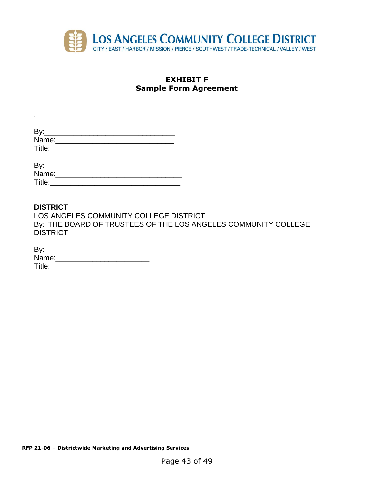

| By:    |  |  |
|--------|--|--|
| Name:  |  |  |
| Title: |  |  |
|        |  |  |
|        |  |  |

| Name:  |  |  |
|--------|--|--|
| Title: |  |  |

#### **DISTRICT**

,

LOS ANGELES COMMUNITY COLLEGE DISTRICT By: THE BOARD OF TRUSTEES OF THE LOS ANGELES COMMUNITY COLLEGE DISTRICT

| By:    |  |  |
|--------|--|--|
| Name:  |  |  |
| Title: |  |  |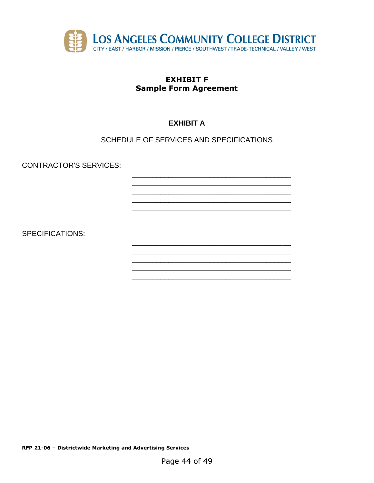

# **EXHIBIT A**

## SCHEDULE OF SERVICES AND SPECIFICATIONS

**CONTRACTOR'S SERVICES:** 

**SPECIFICATIONS:** 

RFP 21-06 - Districtwide Marketing and Advertising Services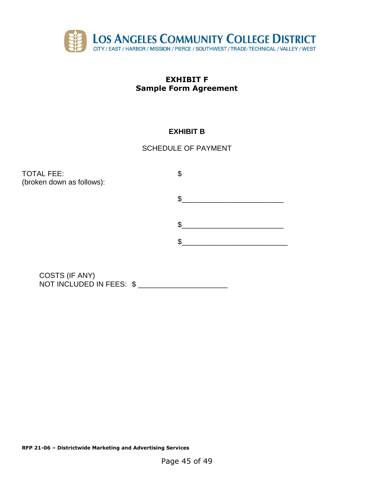

## **EXHIBIT B**

## SCHEDULE OF PAYMENT

TOTAL FEE: \$ (broken down as follows):  $\frac{1}{2}$  $\frac{1}{2}$  $\frac{1}{2}$ 

COSTS (IF ANY) NOT INCLUDED IN FEES: \$ \_\_\_\_\_\_\_\_\_\_\_\_\_\_\_\_\_\_\_\_\_\_\_\_

**RFP 21-06 – Districtwide Marketing and Advertising Services**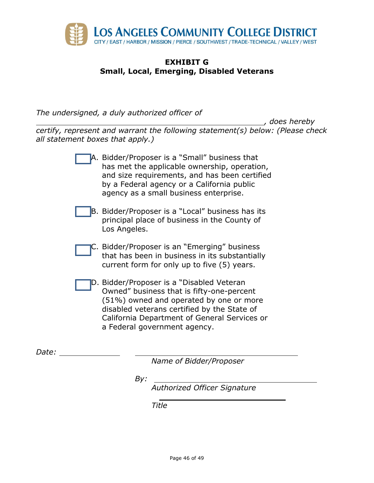

#### **EXHIBIT G Small, Local, Emerging, Disabled Veterans**

*The undersigned, a duly authorized officer of*

*, does hereby certify, represent and warrant the following statement(s) below: (Please check all statement boxes that apply.)*

| Bidder/Proposer is a "Small" business that<br>has met the applicable ownership, operation,<br>and size requirements, and has been certified<br>by a Federal agency or a California public<br>agency as a small business enterprise.                              |
|------------------------------------------------------------------------------------------------------------------------------------------------------------------------------------------------------------------------------------------------------------------|
| B. Bidder/Proposer is a "Local" business has its<br>principal place of business in the County of<br>Los Angeles.                                                                                                                                                 |
| C. Bidder/Proposer is an "Emerging" business<br>that has been in business in its substantially<br>current form for only up to five (5) years.                                                                                                                    |
| D. Bidder/Proposer is a "Disabled Veteran<br>Owned" business that is fifty-one-percent<br>(51%) owned and operated by one or more<br>disabled veterans certified by the State of<br>California Department of General Services or<br>a Federal government agency. |

*Date:* 

*Name of Bidder/Proposer*

*By:* 

*Authorized Officer Signature* 

*Title*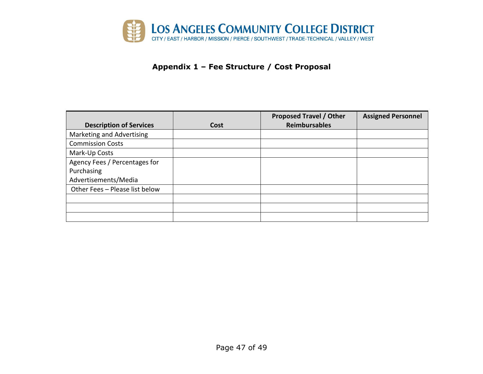

#### **Appendix 1 – Fee Structure / Cost Proposal**

|                                |      | <b>Proposed Travel / Other</b> | <b>Assigned Personnel</b> |
|--------------------------------|------|--------------------------------|---------------------------|
| <b>Description of Services</b> | Cost | <b>Reimbursables</b>           |                           |
| Marketing and Advertising      |      |                                |                           |
| <b>Commission Costs</b>        |      |                                |                           |
| Mark-Up Costs                  |      |                                |                           |
| Agency Fees / Percentages for  |      |                                |                           |
| Purchasing                     |      |                                |                           |
| Advertisements/Media           |      |                                |                           |
| Other Fees - Please list below |      |                                |                           |
|                                |      |                                |                           |
|                                |      |                                |                           |
|                                |      |                                |                           |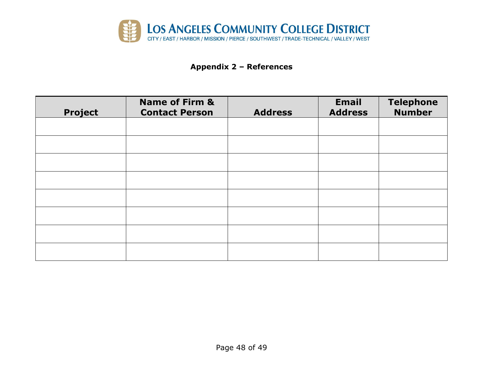

# **Appendix 2 – References**

| <b>Project</b> | <b>Name of Firm &amp;</b><br><b>Contact Person</b> | <b>Address</b> | <b>Email</b><br><b>Address</b> | <b>Telephone</b><br><b>Number</b> |
|----------------|----------------------------------------------------|----------------|--------------------------------|-----------------------------------|
|                |                                                    |                |                                |                                   |
|                |                                                    |                |                                |                                   |
|                |                                                    |                |                                |                                   |
|                |                                                    |                |                                |                                   |
|                |                                                    |                |                                |                                   |
|                |                                                    |                |                                |                                   |
|                |                                                    |                |                                |                                   |
|                |                                                    |                |                                |                                   |